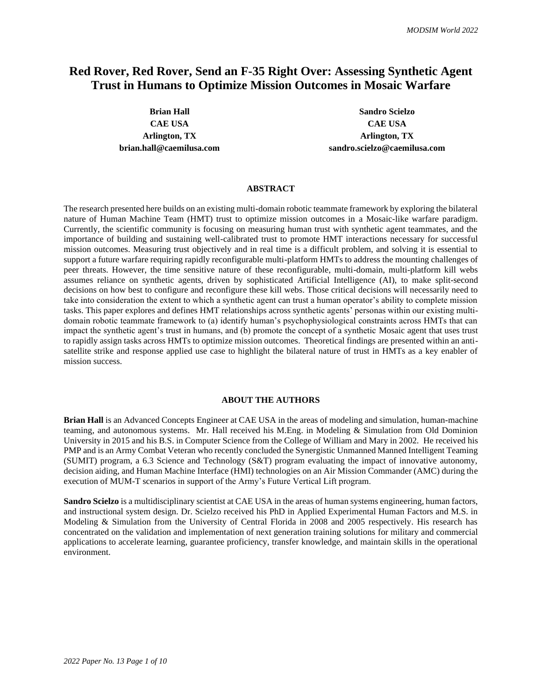# **Red Rover, Red Rover, Send an F-35 Right Over: Assessing Synthetic Agent Trust in Humans to Optimize Mission Outcomes in Mosaic Warfare**

**Brian Hall Sandro Scielzo CAE USA CAE USA Arlington, TX Arlington, TX brian.hall@caemilusa.com sandro.scielzo@caemilusa.com**

#### **ABSTRACT**

The research presented here builds on an existing multi-domain robotic teammate framework by exploring the bilateral nature of Human Machine Team (HMT) trust to optimize mission outcomes in a Mosaic-like warfare paradigm. Currently, the scientific community is focusing on measuring human trust with synthetic agent teammates, and the importance of building and sustaining well-calibrated trust to promote HMT interactions necessary for successful mission outcomes. Measuring trust objectively and in real time is a difficult problem, and solving it is essential to support a future warfare requiring rapidly reconfigurable multi-platform HMTs to address the mounting challenges of peer threats. However, the time sensitive nature of these reconfigurable, multi-domain, multi-platform kill webs assumes reliance on synthetic agents, driven by sophisticated Artificial Intelligence (AI), to make split-second decisions on how best to configure and reconfigure these kill webs. Those critical decisions will necessarily need to take into consideration the extent to which a synthetic agent can trust a human operator's ability to complete mission tasks. This paper explores and defines HMT relationships across synthetic agents' personas within our existing multidomain robotic teammate framework to (a) identify human's psychophysiological constraints across HMTs that can impact the synthetic agent's trust in humans, and (b) promote the concept of a synthetic Mosaic agent that uses trust to rapidly assign tasks across HMTs to optimize mission outcomes. Theoretical findings are presented within an antisatellite strike and response applied use case to highlight the bilateral nature of trust in HMTs as a key enabler of mission success.

# **ABOUT THE AUTHORS**

**Brian Hall** is an Advanced Concepts Engineer at CAE USA in the areas of modeling and simulation, human-machine teaming, and autonomous systems. Mr. Hall received his M.Eng. in Modeling & Simulation from Old Dominion University in 2015 and his B.S. in Computer Science from the College of William and Mary in 2002. He received his PMP and is an Army Combat Veteran who recently concluded the Synergistic Unmanned Manned Intelligent Teaming (SUMIT) program, a 6.3 Science and Technology (S&T) program evaluating the impact of innovative autonomy, decision aiding, and Human Machine Interface (HMI) technologies on an Air Mission Commander (AMC) during the execution of MUM-T scenarios in support of the Army's Future Vertical Lift program.

**Sandro Scielzo** is a multidisciplinary scientist at CAE USA in the areas of human systems engineering, human factors, and instructional system design. Dr. Scielzo received his PhD in Applied Experimental Human Factors and M.S. in Modeling & Simulation from the University of Central Florida in 2008 and 2005 respectively. His research has concentrated on the validation and implementation of next generation training solutions for military and commercial applications to accelerate learning, guarantee proficiency, transfer knowledge, and maintain skills in the operational environment.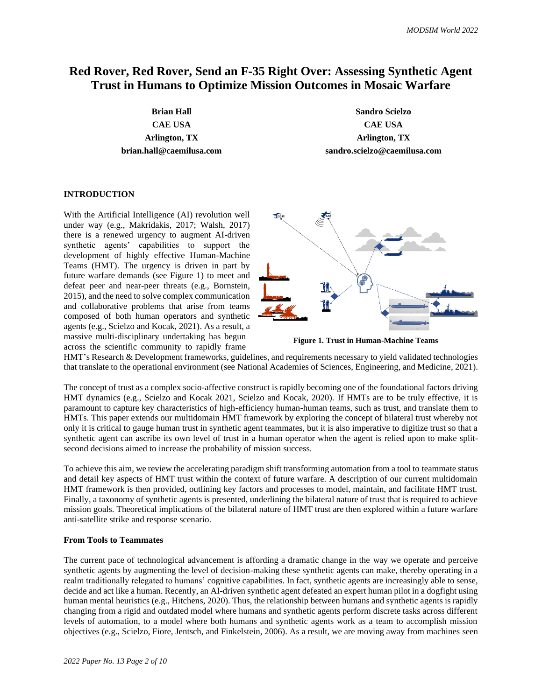# **Red Rover, Red Rover, Send an F-35 Right Over: Assessing Synthetic Agent Trust in Humans to Optimize Mission Outcomes in Mosaic Warfare**

**Brian Hall Sandro Scielzo CAE USA CAE USA Arlington, TX Arlington, TX brian.hall@caemilusa.com sandro.scielzo@caemilusa.com**

# **INTRODUCTION**

With the Artificial Intelligence (AI) revolution well under way (e.g., Makridakis, 2017; Walsh, 2017) there is a renewed urgency to augment AI-driven synthetic agents' capabilities to support the development of highly effective Human-Machine Teams (HMT). The urgency is driven in part by future warfare demands (see Figure 1) to meet and defeat peer and near-peer threats (e.g., Bornstein, 2015), and the need to solve complex communication and collaborative problems that arise from teams composed of both human operators and synthetic agents (e.g., Scielzo and Kocak, 2021). As a result, a massive multi-disciplinary undertaking has begun across the scientific community to rapidly frame



**Figure 1. Trust in Human-Machine Teams**

HMT's Research & Development frameworks, guidelines, and requirements necessary to yield validated technologies that translate to the operational environment (see National Academies of Sciences, Engineering, and Medicine, 2021).

The concept of trust as a complex socio-affective construct is rapidly becoming one of the foundational factors driving HMT dynamics (e.g., Scielzo and Kocak 2021, Scielzo and Kocak, 2020). If HMTs are to be truly effective, it is paramount to capture key characteristics of high-efficiency human-human teams, such as trust, and translate them to HMTs. This paper extends our multidomain HMT framework by exploring the concept of bilateral trust whereby not only it is critical to gauge human trust in synthetic agent teammates, but it is also imperative to digitize trust so that a synthetic agent can ascribe its own level of trust in a human operator when the agent is relied upon to make splitsecond decisions aimed to increase the probability of mission success.

To achieve this aim, we review the accelerating paradigm shift transforming automation from a tool to teammate status and detail key aspects of HMT trust within the context of future warfare. A description of our current multidomain HMT framework is then provided, outlining key factors and processes to model, maintain, and facilitate HMT trust. Finally, a taxonomy of synthetic agents is presented, underlining the bilateral nature of trust that is required to achieve mission goals. Theoretical implications of the bilateral nature of HMT trust are then explored within a future warfare anti-satellite strike and response scenario.

# **From Tools to Teammates**

The current pace of technological advancement is affording a dramatic change in the way we operate and perceive synthetic agents by augmenting the level of decision-making these synthetic agents can make, thereby operating in a realm traditionally relegated to humans' cognitive capabilities. In fact, synthetic agents are increasingly able to sense, decide and act like a human. Recently, an AI-driven synthetic agent defeated an expert human pilot in a dogfight using human mental heuristics (e.g., Hitchens, 2020). Thus, the relationship between humans and synthetic agents is rapidly changing from a rigid and outdated model where humans and synthetic agents perform discrete tasks across different levels of automation, to a model where both humans and synthetic agents work as a team to accomplish mission objectives (e.g., Scielzo, Fiore, Jentsch, and Finkelstein, 2006). As a result, we are moving away from machines seen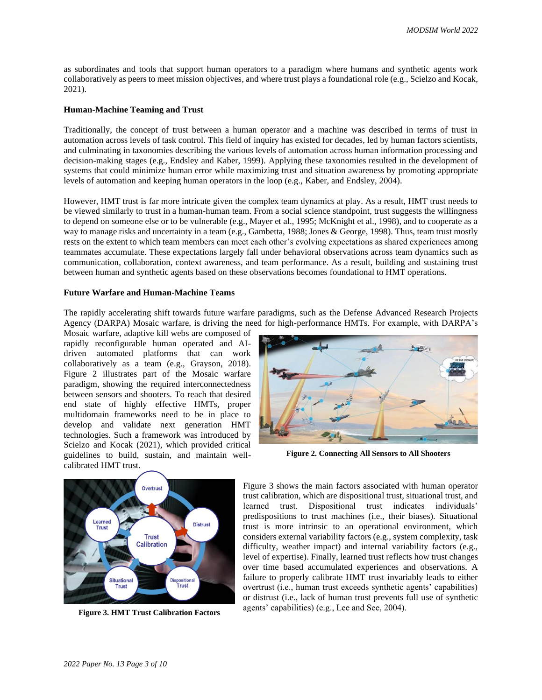as subordinates and tools that support human operators to a paradigm where humans and synthetic agents work collaboratively as peers to meet mission objectives, and where trust plays a foundational role (e.g., Scielzo and Kocak, 2021).

#### **Human-Machine Teaming and Trust**

Traditionally, the concept of trust between a human operator and a machine was described in terms of trust in automation across levels of task control. This field of inquiry has existed for decades, led by human factors scientists, and culminating in taxonomies describing the various levels of automation across human information processing and decision-making stages (e.g., Endsley and Kaber, 1999). Applying these taxonomies resulted in the development of systems that could minimize human error while maximizing trust and situation awareness by promoting appropriate levels of automation and keeping human operators in the loop (e.g., Kaber, and Endsley, 2004).

However, HMT trust is far more intricate given the complex team dynamics at play. As a result, HMT trust needs to be viewed similarly to trust in a human-human team. From a social science standpoint, trust suggests the willingness to depend on someone else or to be vulnerable (e.g., Mayer et al., 1995; McKnight et al., 1998), and to cooperate as a way to manage risks and uncertainty in a team (e.g., Gambetta, 1988; Jones & George, 1998). Thus, team trust mostly rests on the extent to which team members can meet each other's evolving expectations as shared experiences among teammates accumulate. These expectations largely fall under behavioral observations across team dynamics such as communication, collaboration, context awareness, and team performance. As a result, building and sustaining trust between human and synthetic agents based on these observations becomes foundational to HMT operations.

# **Future Warfare and Human-Machine Teams**

The rapidly accelerating shift towards future warfare paradigms, such as the Defense Advanced Research Projects Agency (DARPA) Mosaic warfare, is driving the need for high-performance HMTs. For example, with DARPA's

Mosaic warfare, adaptive kill webs are composed of rapidly reconfigurable human operated and AIdriven automated platforms that can work collaboratively as a team (e.g., Grayson, 2018). Figure 2 illustrates part of the Mosaic warfare paradigm, showing the required interconnectedness between sensors and shooters. To reach that desired end state of highly effective HMTs, proper multidomain frameworks need to be in place to develop and validate next generation HMT technologies. Such a framework was introduced by Scielzo and Kocak (2021), which provided critical guidelines to build, sustain, and maintain wellcalibrated HMT trust.



**Figure 2. Connecting All Sensors to All Shooters**



**Figure 3. HMT Trust Calibration Factors**

Figure 3 shows the main factors associated with human operator trust calibration, which are dispositional trust, situational trust, and learned trust. Dispositional trust indicates individuals' predispositions to trust machines (i.e., their biases). Situational trust is more intrinsic to an operational environment, which considers external variability factors (e.g., system complexity, task difficulty, weather impact) and internal variability factors (e.g., level of expertise). Finally, learned trust reflects how trust changes over time based accumulated experiences and observations. A failure to properly calibrate HMT trust invariably leads to either overtrust (i.e., human trust exceeds synthetic agents' capabilities) or distrust (i.e., lack of human trust prevents full use of synthetic agents' capabilities) (e.g., Lee and See, 2004).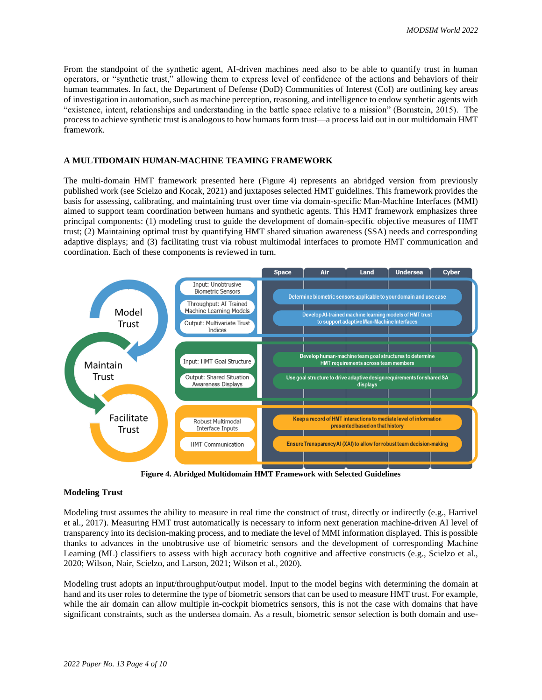From the standpoint of the synthetic agent, AI-driven machines need also to be able to quantify trust in human operators, or "synthetic trust," allowing them to express level of confidence of the actions and behaviors of their human teammates. In fact, the Department of Defense (DoD) Communities of Interest (CoI) are outlining key areas of investigation in automation, such as machine perception, reasoning, and intelligence to endow synthetic agents with "existence, intent, relationships and understanding in the battle space relative to a mission" (Bornstein, 2015). The process to achieve synthetic trust is analogous to how humans form trust—a process laid out in our multidomain HMT framework.

#### **A MULTIDOMAIN HUMAN-MACHINE TEAMING FRAMEWORK**

The multi-domain HMT framework presented here (Figure 4) represents an abridged version from previously published work (see Scielzo and Kocak, 2021) and juxtaposes selected HMT guidelines. This framework provides the basis for assessing, calibrating, and maintaining trust over time via domain-specific Man-Machine Interfaces (MMI) aimed to support team coordination between humans and synthetic agents. This HMT framework emphasizes three principal components: (1) modeling trust to guide the development of domain-specific objective measures of HMT trust; (2) Maintaining optimal trust by quantifying HMT shared situation awareness (SSA) needs and corresponding adaptive displays; and (3) facilitating trust via robust multimodal interfaces to promote HMT communication and coordination. Each of these components is reviewed in turn.



**Figure 4. Abridged Multidomain HMT Framework with Selected Guidelines**

#### **Modeling Trust**

Modeling trust assumes the ability to measure in real time the construct of trust, directly or indirectly (e.g., Harrivel et al., 2017). Measuring HMT trust automatically is necessary to inform next generation machine-driven AI level of transparency into its decision-making process, and to mediate the level of MMI information displayed. This is possible thanks to advances in the unobtrusive use of biometric sensors and the development of corresponding Machine Learning (ML) classifiers to assess with high accuracy both cognitive and affective constructs (e.g., Scielzo et al., 2020; Wilson, Nair, Scielzo, and Larson, 2021; Wilson et al., 2020).

Modeling trust adopts an input/throughput/output model. Input to the model begins with determining the domain at hand and its user roles to determine the type of biometric sensors that can be used to measure HMT trust. For example, while the air domain can allow multiple in-cockpit biometrics sensors, this is not the case with domains that have significant constraints, such as the undersea domain. As a result, biometric sensor selection is both domain and use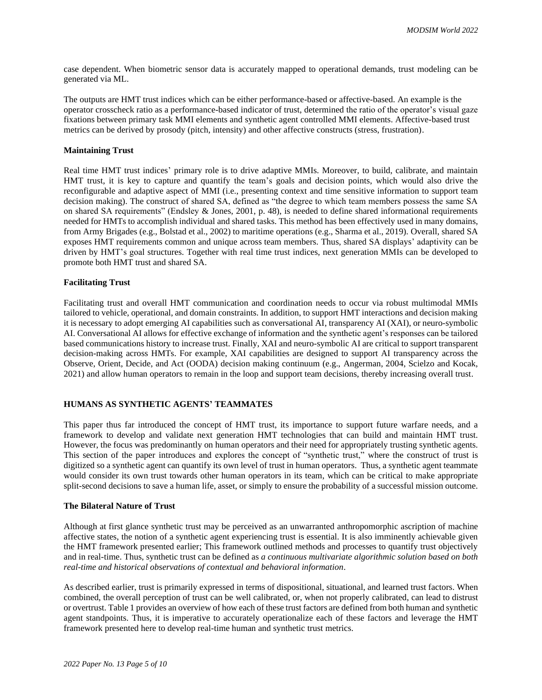case dependent. When biometric sensor data is accurately mapped to operational demands, trust modeling can be generated via ML.

The outputs are HMT trust indices which can be either performance-based or affective-based. An example is the operator crosscheck ratio as a performance-based indicator of trust, determined the ratio of the operator's visual gaze fixations between primary task MMI elements and synthetic agent controlled MMI elements. Affective-based trust metrics can be derived by prosody (pitch, intensity) and other affective constructs (stress, frustration).

# **Maintaining Trust**

Real time HMT trust indices' primary role is to drive adaptive MMIs. Moreover, to build, calibrate, and maintain HMT trust, it is key to capture and quantify the team's goals and decision points, which would also drive the reconfigurable and adaptive aspect of MMI (i.e., presenting context and time sensitive information to support team decision making). The construct of shared SA, defined as "the degree to which team members possess the same SA on shared SA requirements" (Endsley & Jones, 2001, p. 48), is needed to define shared informational requirements needed for HMTs to accomplish individual and shared tasks. This method has been effectively used in many domains, from Army Brigades (e.g., Bolstad et al., 2002) to maritime operations (e.g., Sharma et al., 2019). Overall, shared SA exposes HMT requirements common and unique across team members. Thus, shared SA displays' adaptivity can be driven by HMT's goal structures. Together with real time trust indices, next generation MMIs can be developed to promote both HMT trust and shared SA.

#### **Facilitating Trust**

Facilitating trust and overall HMT communication and coordination needs to occur via robust multimodal MMIs tailored to vehicle, operational, and domain constraints. In addition, to support HMT interactions and decision making it is necessary to adopt emerging AI capabilities such as conversational AI, transparency AI (XAI), or neuro-symbolic AI. Conversational AI allows for effective exchange of information and the synthetic agent's responses can be tailored based communications history to increase trust. Finally, XAI and neuro-symbolic AI are critical to support transparent decision-making across HMTs. For example, XAI capabilities are designed to support AI transparency across the Observe, Orient, Decide, and Act (OODA) decision making continuum (e.g., Angerman, 2004, Scielzo and Kocak, 2021) and allow human operators to remain in the loop and support team decisions, thereby increasing overall trust.

# **HUMANS AS SYNTHETIC AGENTS' TEAMMATES**

This paper thus far introduced the concept of HMT trust, its importance to support future warfare needs, and a framework to develop and validate next generation HMT technologies that can build and maintain HMT trust. However, the focus was predominantly on human operators and their need for appropriately trusting synthetic agents. This section of the paper introduces and explores the concept of "synthetic trust," where the construct of trust is digitized so a synthetic agent can quantify its own level of trust in human operators. Thus, a synthetic agent teammate would consider its own trust towards other human operators in its team, which can be critical to make appropriate split-second decisions to save a human life, asset, or simply to ensure the probability of a successful mission outcome.

#### **The Bilateral Nature of Trust**

Although at first glance synthetic trust may be perceived as an unwarranted anthropomorphic ascription of machine affective states, the notion of a synthetic agent experiencing trust is essential. It is also imminently achievable given the HMT framework presented earlier; This framework outlined methods and processes to quantify trust objectively and in real-time. Thus, synthetic trust can be defined as *a continuous multivariate algorithmic solution based on both real-time and historical observations of contextual and behavioral information*.

As described earlier, trust is primarily expressed in terms of dispositional, situational, and learned trust factors. When combined, the overall perception of trust can be well calibrated, or, when not properly calibrated, can lead to distrust or overtrust. Table 1 provides an overview of how each of these trust factors are defined from both human and synthetic agent standpoints. Thus, it is imperative to accurately operationalize each of these factors and leverage the HMT framework presented here to develop real-time human and synthetic trust metrics.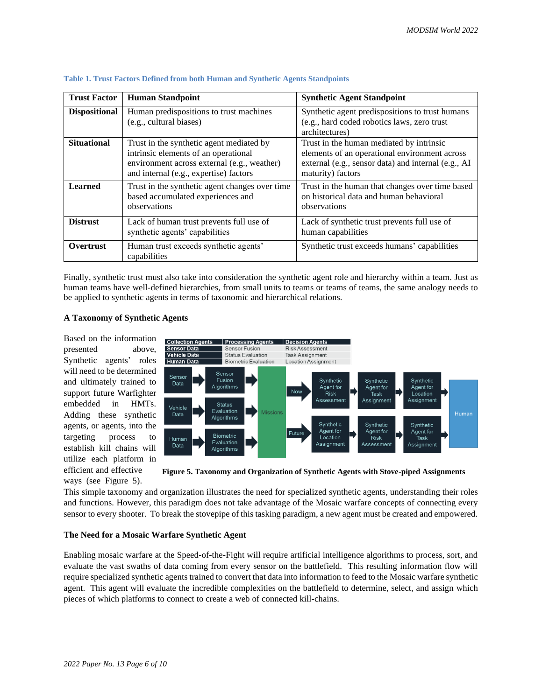| <b>Trust Factor</b>  | <b>Human Standpoint</b>                                                                                                                                                   | <b>Synthetic Agent Standpoint</b>                                                                                                                                     |
|----------------------|---------------------------------------------------------------------------------------------------------------------------------------------------------------------------|-----------------------------------------------------------------------------------------------------------------------------------------------------------------------|
| <b>Dispositional</b> | Human predispositions to trust machines<br>(e.g., cultural biases)                                                                                                        | Synthetic agent predispositions to trust humans<br>(e.g., hard coded robotics laws, zero trust<br>architectures)                                                      |
| <b>Situational</b>   | Trust in the synthetic agent mediated by<br>intrinsic elements of an operational<br>environment across external (e.g., weather)<br>and internal (e.g., expertise) factors | Trust in the human mediated by intrinsic<br>elements of an operational environment across<br>external (e.g., sensor data) and internal (e.g., AI<br>maturity) factors |
| <b>Learned</b>       | Trust in the synthetic agent changes over time<br>based accumulated experiences and<br>observations                                                                       | Trust in the human that changes over time based<br>on historical data and human behavioral<br>observations                                                            |
| <b>Distrust</b>      | Lack of human trust prevents full use of<br>synthetic agents' capabilities                                                                                                | Lack of synthetic trust prevents full use of<br>human capabilities                                                                                                    |
| Overtrust            | Human trust exceeds synthetic agents'<br>capabilities                                                                                                                     | Synthetic trust exceeds humans' capabilities                                                                                                                          |

#### **Table 1. Trust Factors Defined from both Human and Synthetic Agents Standpoints**

Finally, synthetic trust must also take into consideration the synthetic agent role and hierarchy within a team. Just as human teams have well-defined hierarchies, from small units to teams or teams of teams, the same analogy needs to be applied to synthetic agents in terms of taxonomic and hierarchical relations.

# **A Taxonomy of Synthetic Agents**

Based on the information presented above, Synthetic agents' roles will need to be determined and ultimately trained to support future Warfighter embedded in HMTs. Adding these synthetic agents, or agents, into the targeting process to establish kill chains will utilize each platform in efficient and effective ways (see Figure 5).



**Figure 5. Taxonomy and Organization of Synthetic Agents with Stove-piped Assignments**

This simple taxonomy and organization illustrates the need for specialized synthetic agents, understanding their roles and functions. However, this paradigm does not take advantage of the Mosaic warfare concepts of connecting every sensor to every shooter. To break the stovepipe of this tasking paradigm, a new agent must be created and empowered.

# **The Need for a Mosaic Warfare Synthetic Agent**

Enabling mosaic warfare at the Speed-of-the-Fight will require artificial intelligence algorithms to process, sort, and evaluate the vast swaths of data coming from every sensor on the battlefield. This resulting information flow will require specialized synthetic agents trained to convert that data into information to feed to the Mosaic warfare synthetic agent. This agent will evaluate the incredible complexities on the battlefield to determine, select, and assign which pieces of which platforms to connect to create a web of connected kill-chains.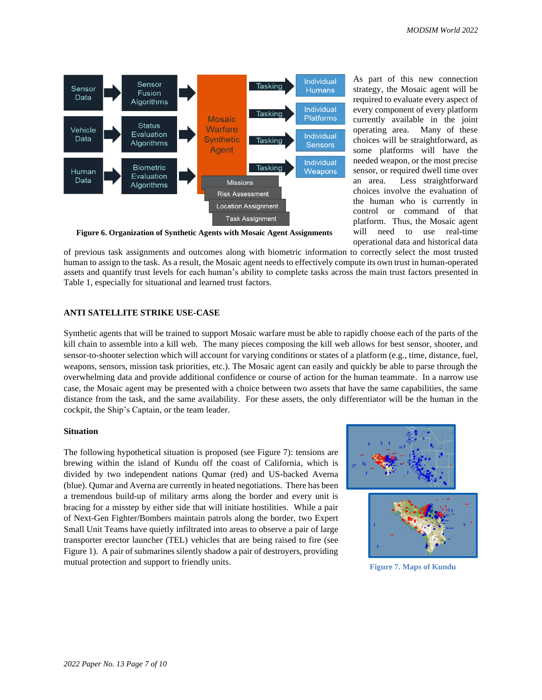

As part of this new connection strategy, the Mosaic agent will be required to evaluate every aspect of every component of every platform currently available in the joint operating area. Many of these choices will be straightforward, as some platforms will have the needed weapon, or the most precise sensor, or required dwell time over an area. Less straightforward choices involve the evaluation of the human who is currently in control or command of that platform. Thus, the Mosaic agent will need to use real-time operational data and historical data

**Figure 6. Organization of Synthetic Agents with Mosaic Agent Assignments**

of previous task assignments and outcomes along with biometric information to correctly select the most trusted human to assign to the task. As a result, the Mosaic agent needs to effectively compute its own trust in human-operated assets and quantify trust levels for each human's ability to complete tasks across the main trust factors presented in Table 1, especially for situational and learned trust factors.

# **ANTI SATELLITE STRIKE USE-CASE**

Synthetic agents that will be trained to support Mosaic warfare must be able to rapidly choose each of the parts of the kill chain to assemble into a kill web. The many pieces composing the kill web allows for best sensor, shooter, and sensor-to-shooter selection which will account for varying conditions or states of a platform (e.g., time, distance, fuel, weapons, sensors, mission task priorities, etc.). The Mosaic agent can easily and quickly be able to parse through the overwhelming data and provide additional confidence or course of action for the human teammate. In a narrow use case, the Mosaic agent may be presented with a choice between two assets that have the same capabilities, the same distance from the task, and the same availability. For these assets, the only differentiator will be the human in the cockpit, the Ship's Captain, or the team leader.

### **Situation**

The following hypothetical situation is proposed (see Figure 7): tensions are brewing within the island of Kundu off the coast of California, which is divided by two independent nations Qumar (red) and US-backed Averna (blue). Qumar and Averna are currently in heated negotiations. There has been a tremendous build-up of military arms along the border and every unit is bracing for a misstep by either side that will initiate hostilities. While a pair of Next-Gen Fighter/Bombers maintain patrols along the border, two Expert Small Unit Teams have quietly infiltrated into areas to observe a pair of large transporter erector launcher (TEL) vehicles that are being raised to fire (see Figure 1). A pair of submarines silently shadow a pair of destroyers, providing mutual protection and support to friendly units.





**Figure 7. Maps of Kundu**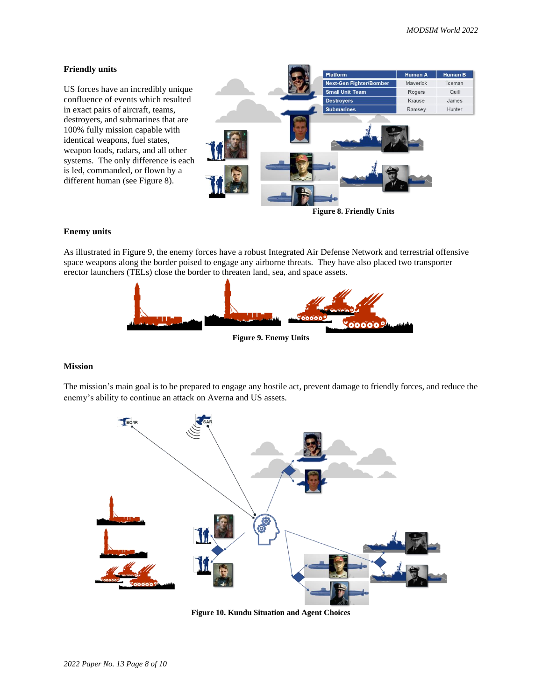## **Friendly units**

US forces have an incredibly unique confluence of events which resulted in exact pairs of aircraft, teams, destroyers, and submarines that are 100% fully mission capable with identical weapons, fuel states, weapon loads, radars, and all other systems. The only difference is each is led, commanded, or flown by a different human (see Figure 8).



**Figure 8. Friendly Units**

### **Enemy units**

As illustrated in Figure 9, the enemy forces have a robust Integrated Air Defense Network and terrestrial offensive space weapons along the border poised to engage any airborne threats. They have also placed two transporter erector launchers (TELs) close the border to threaten land, sea, and space assets.



# **Figure 9. Enemy Units**

#### **Mission**

The mission's main goal is to be prepared to engage any hostile act, prevent damage to friendly forces, and reduce the enemy's ability to continue an attack on Averna and US assets.



**Figure 10. Kundu Situation and Agent Choices**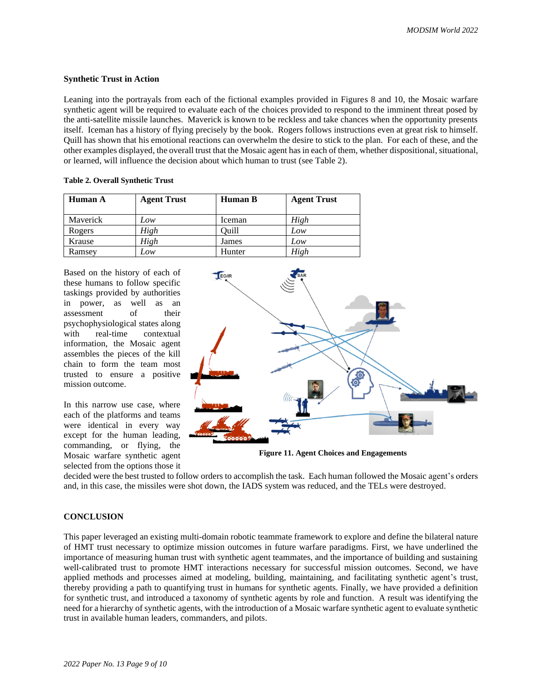## **Synthetic Trust in Action**

Leaning into the portrayals from each of the fictional examples provided in Figures 8 and 10, the Mosaic warfare synthetic agent will be required to evaluate each of the choices provided to respond to the imminent threat posed by the anti-satellite missile launches. Maverick is known to be reckless and take chances when the opportunity presents itself. Iceman has a history of flying precisely by the book. Rogers follows instructions even at great risk to himself. Quill has shown that his emotional reactions can overwhelm the desire to stick to the plan. For each of these, and the other examples displayed, the overall trust that the Mosaic agent has in each of them, whether dispositional, situational, or learned, will influence the decision about which human to trust (see Table 2).

| Table 2. Overall Synthetic Trust |
|----------------------------------|
|----------------------------------|

| Human A  | <b>Agent Trust</b> | Human B | <b>Agent Trust</b> |
|----------|--------------------|---------|--------------------|
| Maverick | Low                | Iceman  | High               |
| Rogers   | High               | Ouill   | Low                |
| Krause   | High               | James   | Low                |
| Ramsey   | Low                | Hunter  | High               |

Based on the history of each of these humans to follow specific taskings provided by authorities in power, as well as an assessment of their psychophysiological states along with real-time contextual information, the Mosaic agent assembles the pieces of the kill chain to form the team most trusted to ensure a positive mission outcome.

In this narrow use case, where each of the platforms and teams were identical in every way except for the human leading, commanding, or flying, the Mosaic warfare synthetic agent selected from the options those it



**Figure 11. Agent Choices and Engagements**

decided were the best trusted to follow orders to accomplish the task. Each human followed the Mosaic agent's orders and, in this case, the missiles were shot down, the IADS system was reduced, and the TELs were destroyed.

# **CONCLUSION**

This paper leveraged an existing multi-domain robotic teammate framework to explore and define the bilateral nature of HMT trust necessary to optimize mission outcomes in future warfare paradigms. First, we have underlined the importance of measuring human trust with synthetic agent teammates, and the importance of building and sustaining well-calibrated trust to promote HMT interactions necessary for successful mission outcomes. Second, we have applied methods and processes aimed at modeling, building, maintaining, and facilitating synthetic agent's trust, thereby providing a path to quantifying trust in humans for synthetic agents. Finally, we have provided a definition for synthetic trust, and introduced a taxonomy of synthetic agents by role and function. A result was identifying the need for a hierarchy of synthetic agents, with the introduction of a Mosaic warfare synthetic agent to evaluate synthetic trust in available human leaders, commanders, and pilots.